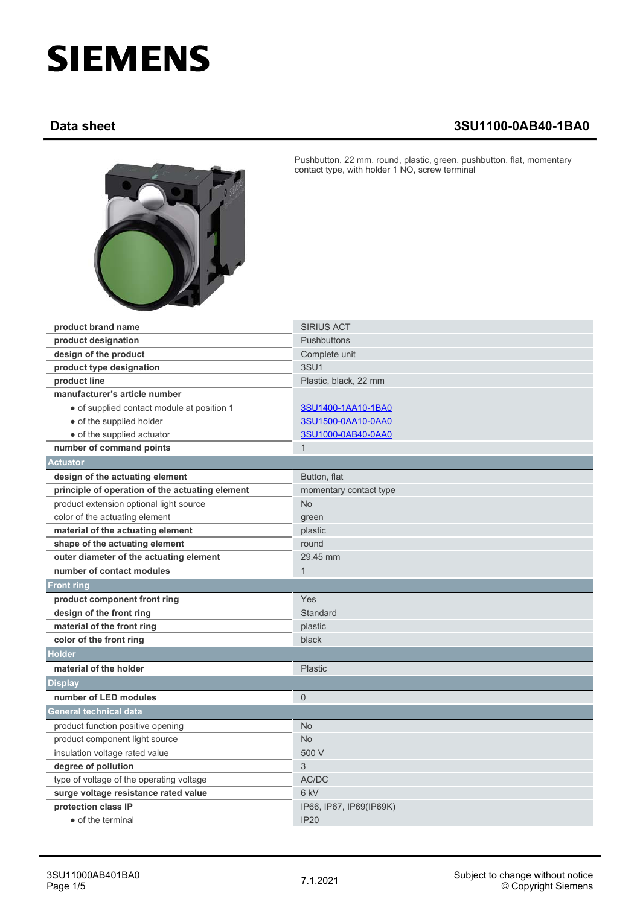## **SIEMENS**

## **Data sheet 3SU1100-0AB40-1BA0**



Pushbutton, 22 mm, round, plastic, green, pushbutton, flat, momentary contact type, with holder 1 NO, screw terminal

| product brand name                              | <b>SIRIUS ACT</b>       |
|-------------------------------------------------|-------------------------|
| product designation                             | <b>Pushbuttons</b>      |
| design of the product                           | Complete unit           |
| product type designation                        | <b>3SU1</b>             |
| product line                                    | Plastic, black, 22 mm   |
| manufacturer's article number                   |                         |
| • of supplied contact module at position 1      | 3SU1400-1AA10-1BA0      |
| • of the supplied holder                        | 3SU1500-0AA10-0AA0      |
| • of the supplied actuator                      | 3SU1000-0AB40-0AA0      |
| number of command points                        | $\mathbf{1}$            |
| <b>Actuator</b>                                 |                         |
| design of the actuating element                 | Button, flat            |
| principle of operation of the actuating element | momentary contact type  |
| product extension optional light source         | <b>No</b>               |
| color of the actuating element                  | green                   |
| material of the actuating element               | plastic                 |
| shape of the actuating element                  | round                   |
| outer diameter of the actuating element         | 29.45 mm                |
| number of contact modules                       | $\mathbf{1}$            |
| <b>Front ring</b>                               |                         |
| product component front ring                    | Yes                     |
| design of the front ring                        | Standard                |
| material of the front ring                      | plastic                 |
| color of the front ring                         | black                   |
| <b>Holder</b>                                   |                         |
| material of the holder                          | <b>Plastic</b>          |
| <b>Display</b>                                  |                         |
| number of LED modules                           | $\mathbf{0}$            |
| <b>General technical data</b>                   |                         |
| product function positive opening               | <b>No</b>               |
| product component light source                  | <b>No</b>               |
| insulation voltage rated value                  | 500 V                   |
| degree of pollution                             | 3                       |
| type of voltage of the operating voltage        | AC/DC                   |
| surge voltage resistance rated value            | 6 kV                    |
| protection class IP                             | IP66, IP67, IP69(IP69K) |
| • of the terminal                               | <b>IP20</b>             |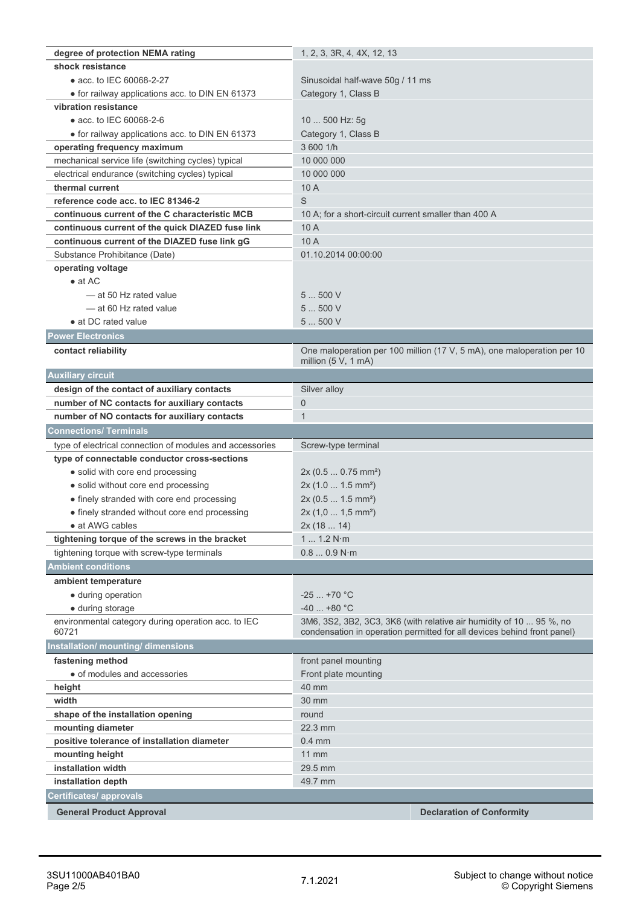| degree of protection NEMA rating                             | 1, 2, 3, 3R, 4, 4X, 12, 13                                              |
|--------------------------------------------------------------|-------------------------------------------------------------------------|
| shock resistance                                             |                                                                         |
| • acc. to IEC 60068-2-27                                     | Sinusoidal half-wave 50g / 11 ms                                        |
| • for railway applications acc. to DIN EN 61373              | Category 1, Class B                                                     |
| vibration resistance                                         |                                                                         |
| • acc. to IEC 60068-2-6                                      | 10  500 Hz: 5g                                                          |
| • for railway applications acc. to DIN EN 61373              | Category 1, Class B                                                     |
| operating frequency maximum                                  | 3 600 1/h                                                               |
| mechanical service life (switching cycles) typical           | 10 000 000                                                              |
| electrical endurance (switching cycles) typical              | 10 000 000                                                              |
| thermal current                                              | 10A                                                                     |
| reference code acc. to IEC 81346-2                           | S                                                                       |
| continuous current of the C characteristic MCB               | 10 A; for a short-circuit current smaller than 400 A                    |
| continuous current of the quick DIAZED fuse link             | 10A                                                                     |
| continuous current of the DIAZED fuse link gG                | 10 A                                                                    |
| Substance Prohibitance (Date)                                | 01.10.2014 00:00:00                                                     |
| operating voltage                                            |                                                                         |
| $\bullet$ at AC                                              |                                                                         |
| -at 50 Hz rated value                                        | 5  500 V                                                                |
| -at 60 Hz rated value                                        | 5  500 V                                                                |
| • at DC rated value                                          | 5500V                                                                   |
| <b>Power Electronics</b>                                     |                                                                         |
| contact reliability                                          | One maloperation per 100 million (17 V, 5 mA), one maloperation per 10  |
|                                                              | million $(5 V, 1 mA)$                                                   |
| <b>Auxiliary circuit</b>                                     |                                                                         |
| design of the contact of auxiliary contacts                  | Silver alloy                                                            |
| number of NC contacts for auxiliary contacts                 | 0                                                                       |
| number of NO contacts for auxiliary contacts                 | $\mathbf{1}$                                                            |
|                                                              |                                                                         |
|                                                              |                                                                         |
| <b>Connections/ Terminals</b>                                |                                                                         |
| type of electrical connection of modules and accessories     | Screw-type terminal                                                     |
| type of connectable conductor cross-sections                 |                                                                         |
| • solid with core end processing                             | $2x(0.50.75)$ mm <sup>2</sup> )                                         |
| · solid without core end processing                          | $2x(1.01.5mm^2)$                                                        |
| • finely stranded with core end processing                   | 2x (0.5  1.5 mm <sup>2</sup> )                                          |
| • finely stranded without core end processing                | $2x(1,01,5mm^2)$                                                        |
| · at AWG cables                                              | 2x(1814)                                                                |
| tightening torque of the screws in the bracket               | 1 1.2 N·m                                                               |
| tightening torque with screw-type terminals                  | 0.80.9 N·m                                                              |
| <b>Ambient conditions</b>                                    |                                                                         |
| ambient temperature                                          |                                                                         |
| • during operation                                           | $-25$ +70 °C                                                            |
| • during storage                                             | $-40$ +80 °C                                                            |
| environmental category during operation acc. to IEC<br>60721 | 3M6, 3S2, 3B2, 3C3, 3K6 (with relative air humidity of 10  95 %, no     |
|                                                              | condensation in operation permitted for all devices behind front panel) |
| Installation/ mounting/ dimensions                           |                                                                         |
| fastening method                                             | front panel mounting                                                    |
| • of modules and accessories                                 | Front plate mounting                                                    |
| height                                                       | 40 mm                                                                   |
| width                                                        | 30 mm                                                                   |
| shape of the installation opening                            | round                                                                   |
| mounting diameter                                            | 22.3 mm                                                                 |
| positive tolerance of installation diameter                  | $0.4$ mm                                                                |
| mounting height                                              | $11$ mm                                                                 |
| installation width                                           | 29.5 mm                                                                 |
| installation depth                                           | 49.7 mm                                                                 |
| Certificates/ approvals<br><b>General Product Approval</b>   | <b>Declaration of Conformity</b>                                        |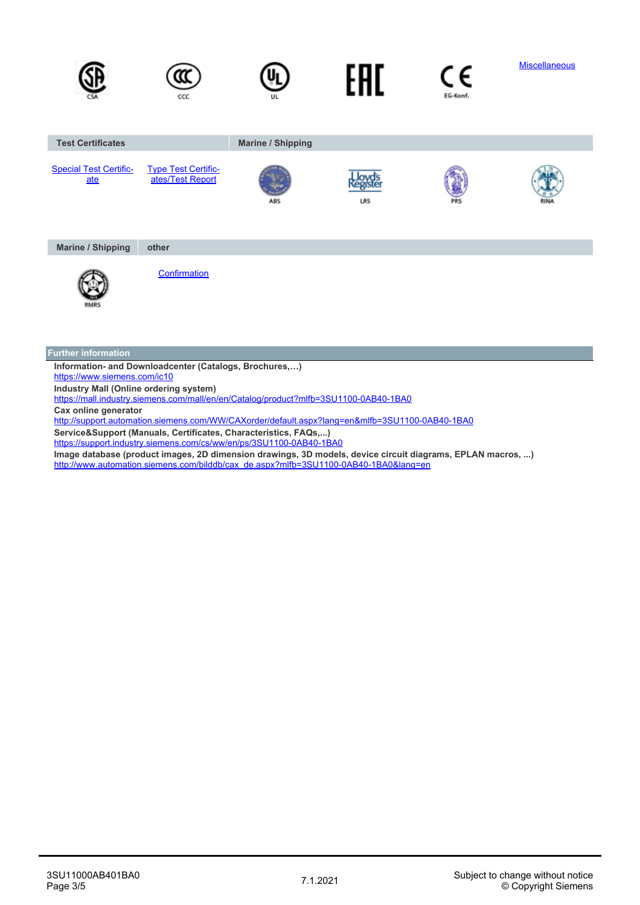

<https://www.siemens.com/ic10>

**Industry Mall (Online ordering system)**

<https://mall.industry.siemens.com/mall/en/en/Catalog/product?mlfb=3SU1100-0AB40-1BA0>

**Cax online generator**

<http://support.automation.siemens.com/WW/CAXorder/default.aspx?lang=en&mlfb=3SU1100-0AB40-1BA0>

**Service&Support (Manuals, Certificates, Characteristics, FAQs,...)**

<https://support.industry.siemens.com/cs/ww/en/ps/3SU1100-0AB40-1BA0>

**Image database (product images, 2D dimension drawings, 3D models, device circuit diagrams, EPLAN macros, ...)** [http://www.automation.siemens.com/bilddb/cax\\_de.aspx?mlfb=3SU1100-0AB40-1BA0&lang=en](http://www.automation.siemens.com/bilddb/cax_de.aspx?mlfb=3SU1100-0AB40-1BA0&lang=en)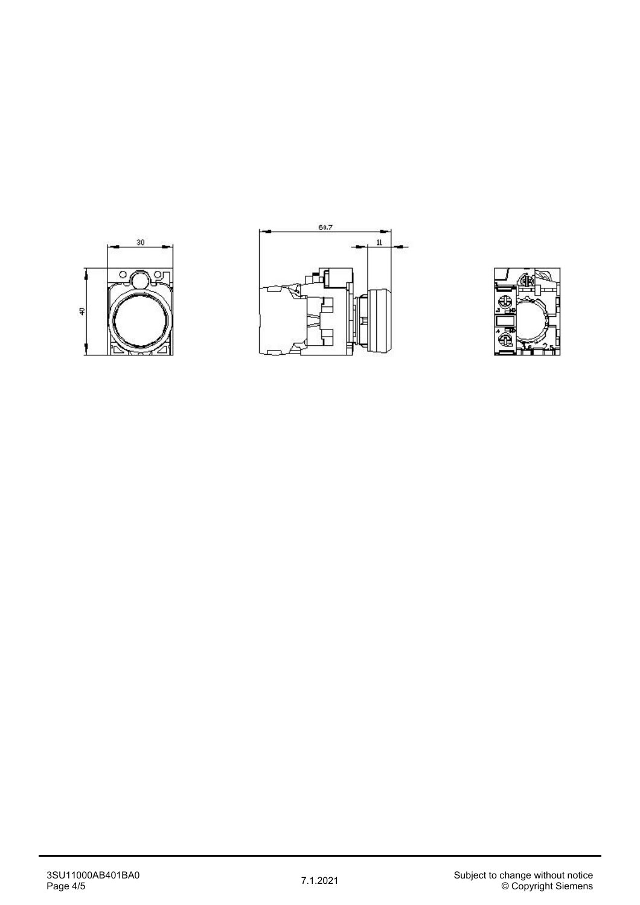